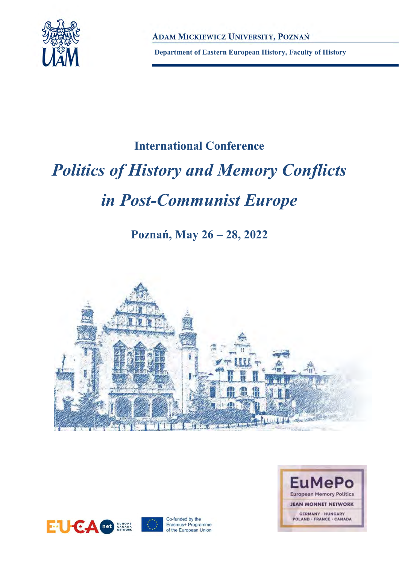

**Department of Eastern European History, Faculty of History** 

### **International Conference**

# *Politics of History and Memory Conflicts*

## *in Post-Communist Europe*

## **Poznań, May 26 – 28, 2022**





Co-funded by the Erasmus+ Programme of the European Union

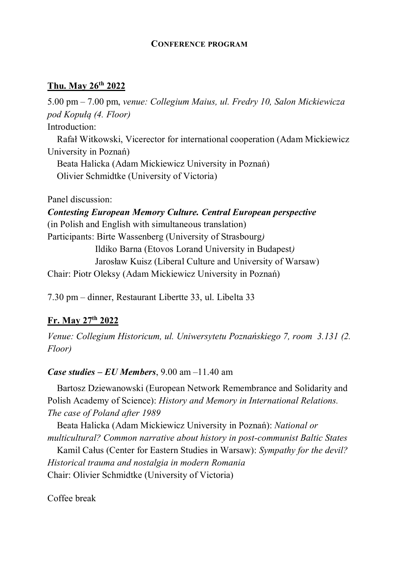#### **CONFERENCE PROGRAM**

#### **Thu. May 26th 2022**

5.00 pm – 7.00 pm, *venue: Collegium Maius, ul. Fredry 10, Salon Mickiewicza pod Kopułą (4. Floor)*  Introduction:

Rafał Witkowski, Vicerector for international cooperation (Adam Mickiewicz University in Poznań)

Beata Halicka (Adam Mickiewicz University in Poznań) Olivier Schmidtke (University of Victoria)

Panel discussion:

*Contesting European Memory Culture. Central European perspective*  (in Polish and English with simultaneous translation) Participants: Birte Wassenberg (University of Strasbourg*)* Ildiko Barna (Etovos Lorand University in Budapest*)* Jarosław Kuisz (Liberal Culture and University of Warsaw) Chair: Piotr Oleksy (Adam Mickiewicz University in Poznań)

7.30 pm – dinner, Restaurant Libertte 33, ul. Libelta 33

#### **Fr. May 27th 2022**

*Venue: Collegium Historicum, ul. Uniwersytetu Poznańskiego 7, room 3.131 (2. Floor)*

#### *Case studies – EU Members*, 9.00 am –11.40 am

Bartosz Dziewanowski (European Network Remembrance and Solidarity and Polish Academy of Science): *History and Memory in International Relations. The case of Poland after 1989*

Beata Halicka (Adam Mickiewicz University in Poznań): *National or multicultural? Common narrative about history in post-communist Baltic States*

Kamil Całus (Center for Eastern Studies in Warsaw): *Sympathy for the devil? Historical trauma and nostalgia in modern Romania* Chair: Olivier Schmidtke (University of Victoria)

Coffee break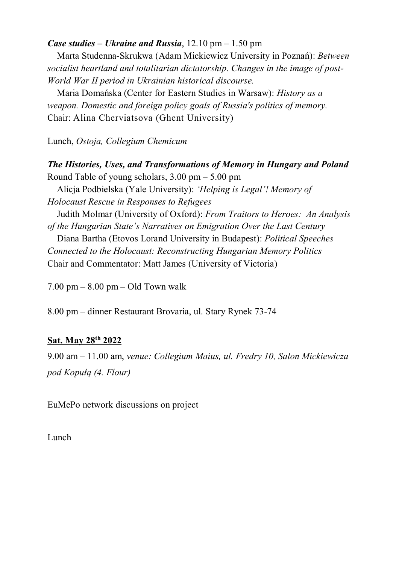#### *Case studies – Ukraine and Russia*, 12.10 pm – 1.50 pm

Marta Studenna-Skrukwa (Adam Mickiewicz University in Poznań): *Between socialist heartland and totalitarian dictatorship. Changes in the image of post-World War II period in Ukrainian historical discourse.*

Maria Domańska (Center for Eastern Studies in Warsaw): *History as a weapon. Domestic and foreign policy goals of Russia's politics of memory.* Chair: Alina Cherviatsova (Ghent University)

Lunch, *Ostoja, Collegium Chemicum*

#### *The Histories, Uses, and Transformations of Memory in Hungary and Poland* Round Table of young scholars, 3.00 pm – 5.00 pm

Alicja Podbielska (Yale University): *'Helping is Legal'! Memory of Holocaust Rescue in Responses to Refugees*

Judith Molmar (University of Oxford): *From Traitors to Heroes: An Analysis of the Hungarian State's Narratives on Emigration Over the Last Century*

Diana Bartha (Etovos Lorand University in Budapest): *Political Speeches Connected to the Holocaust: Reconstructing Hungarian Memory Politics* Chair and Commentator: Matt James (University of Victoria)

 $7.00 \text{ pm} - 8.00 \text{ pm} - \text{Old}$  Town walk

8.00 pm – dinner Restaurant Brovaria, ul. Stary Rynek 73-74

#### **Sat. May 28th 2022**

9.00 am – 11.00 am, *venue: Collegium Maius, ul. Fredry 10, Salon Mickiewicza pod Kopułą (4. Flour)* 

EuMePo network discussions on project

Lunch